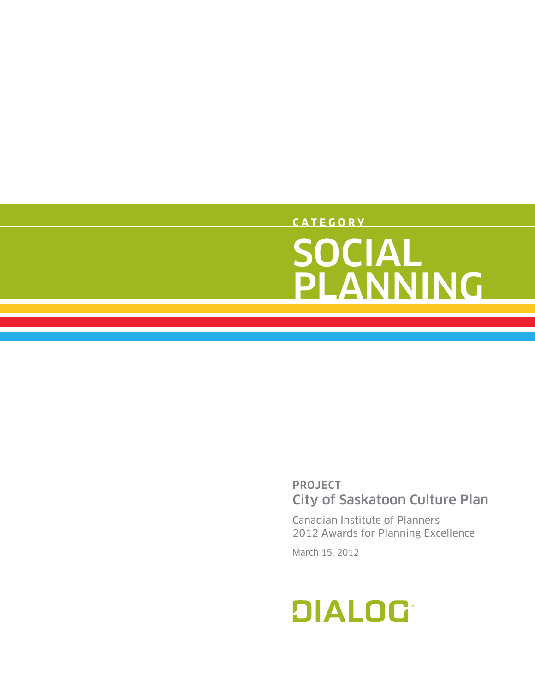### **C A T E G O R Y** SOCIAL PLANNING

### PROJECT City of Saskatoon Culture Plan

Canadian Institute of Planners 2012 Awards for Planning Excellence

March 15, 2012

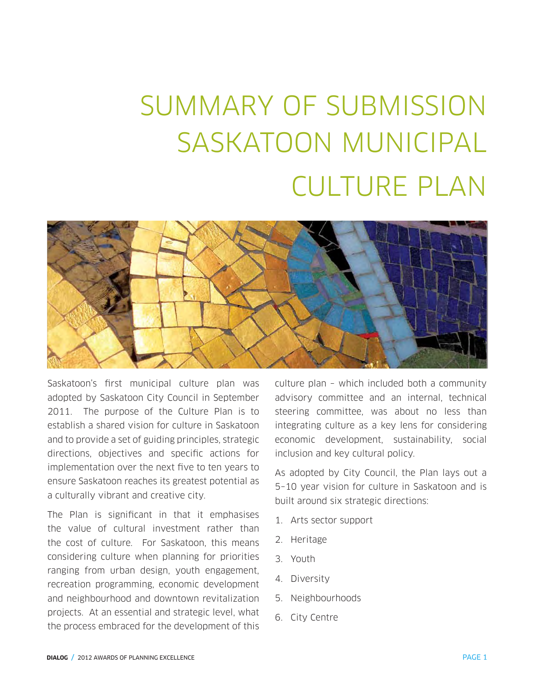# SUMMARY OF SUBMISSION SASKATOON MUNICIPAL CULTURE PLAN



Saskatoon's first municipal culture plan was adopted by Saskatoon City Council in September 2011. The purpose of the Culture Plan is to establish a shared vision for culture in Saskatoon and to provide a set of guiding principles, strategic directions, objectives and specific actions for implementation over the next five to ten years to ensure Saskatoon reaches its greatest potential as a culturally vibrant and creative city.

The Plan is significant in that it emphasises the value of cultural investment rather than the cost of culture. For Saskatoon, this means considering culture when planning for priorities ranging from urban design, youth engagement, recreation programming, economic development and neighbourhood and downtown revitalization projects. At an essential and strategic level, what the process embraced for the development of this

culture plan – which included both a community advisory committee and an internal, technical steering committee, was about no less than integrating culture as a key lens for considering economic development, sustainability, social inclusion and key cultural policy.

As adopted by City Council, the Plan lays out a 5–10 year vision for culture in Saskatoon and is built around six strategic directions:

- 1. Arts sector support
- 2. Heritage
- 3. Youth
- 4. Diversity
- 5. Neighbourhoods
- 6. City Centre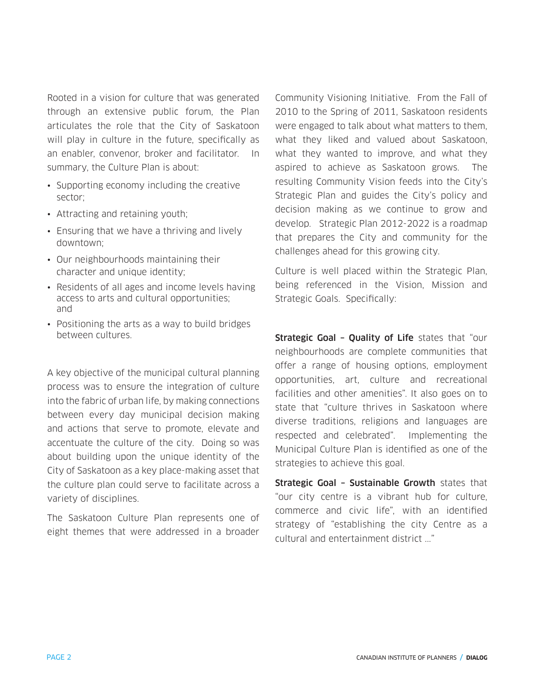Rooted in a vision for culture that was generated through an extensive public forum, the Plan articulates the role that the City of Saskatoon will play in culture in the future, specifically as an enabler, convenor, broker and facilitator. In summary, the Culture Plan is about:

- Supporting economy including the creative sector;
- Attracting and retaining youth;
- Ensuring that we have a thriving and lively downtown;
- Our neighbourhoods maintaining their character and unique identity;
- Residents of all ages and income levels having access to arts and cultural opportunities; and
- Positioning the arts as a way to build bridges between cultures.

A key objective of the municipal cultural planning process was to ensure the integration of culture into the fabric of urban life, by making connections between every day municipal decision making and actions that serve to promote, elevate and accentuate the culture of the city. Doing so was about building upon the unique identity of the City of Saskatoon as a key place-making asset that the culture plan could serve to facilitate across a variety of disciplines.

The Saskatoon Culture Plan represents one of eight themes that were addressed in a broader Community Visioning Initiative. From the Fall of 2010 to the Spring of 2011, Saskatoon residents were engaged to talk about what matters to them, what they liked and valued about Saskatoon, what they wanted to improve, and what they aspired to achieve as Saskatoon grows. The resulting Community Vision feeds into the City's Strategic Plan and guides the City's policy and decision making as we continue to grow and develop. Strategic Plan 2012-2022 is a roadmap that prepares the City and community for the challenges ahead for this growing city.

Culture is well placed within the Strategic Plan, being referenced in the Vision, Mission and Strategic Goals. Specifically:

Strategic Goal - Quality of Life states that "our neighbourhoods are complete communities that offer a range of housing options, employment opportunities, art, culture and recreational facilities and other amenities". It also goes on to state that "culture thrives in Saskatoon where diverse traditions, religions and languages are respected and celebrated". Implementing the Municipal Culture Plan is identified as one of the strategies to achieve this goal.

Strategic Goal - Sustainable Growth states that "our city centre is a vibrant hub for culture, commerce and civic life", with an identified strategy of "establishing the city Centre as a cultural and entertainment district ..."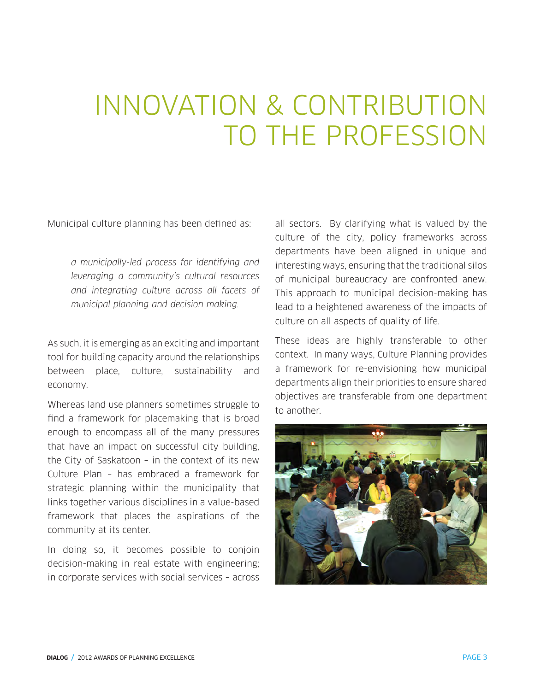### INNOVATION & CONTRIBUTION TO THE PROFESSION

Municipal culture planning has been defined as:

a municipally-led process for identifying and leveraging a community's cultural resources and integrating culture across all facets of municipal planning and decision making.

As such, it is emerging as an exciting and important tool for building capacity around the relationships between place, culture, sustainability and economy.

Whereas land use planners sometimes struggle to find a framework for placemaking that is broad enough to encompass all of the many pressures that have an impact on successful city building, the City of Saskatoon – in the context of its new Culture Plan – has embraced a framework for strategic planning within the municipality that links together various disciplines in a value-based framework that places the aspirations of the community at its center.

In doing so, it becomes possible to conjoin decision-making in real estate with engineering; in corporate services with social services – across all sectors. By clarifying what is valued by the culture of the city, policy frameworks across departments have been aligned in unique and interesting ways, ensuring that the traditional silos of municipal bureaucracy are confronted anew. This approach to municipal decision-making has lead to a heightened awareness of the impacts of culture on all aspects of quality of life.

These ideas are highly transferable to other context. In many ways, Culture Planning provides a framework for re-envisioning how municipal departments align their priorities to ensure shared objectives are transferable from one department to another.

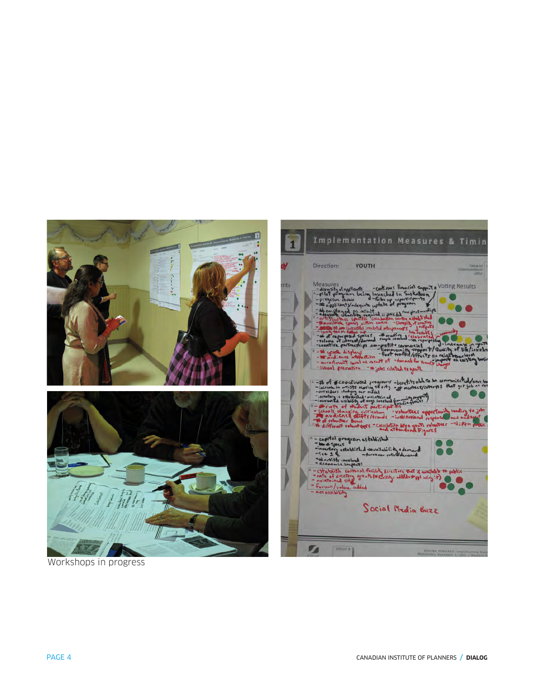

Workshops in progress

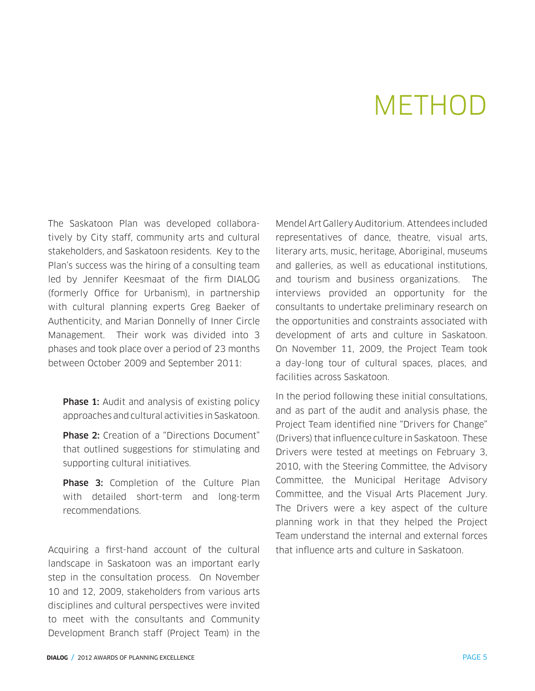### METHOD

The Saskatoon Plan was developed collaboratively by City staff, community arts and cultural stakeholders, and Saskatoon residents. Key to the Plan's success was the hiring of a consulting team led by Jennifer Keesmaat of the firm DIALOG (formerly Office for Urbanism), in partnership with cultural planning experts Greg Baeker of Authenticity, and Marian Donnelly of Inner Circle Management. Their work was divided into 3 phases and took place over a period of 23 months between October 2009 and September 2011:

**Phase 1:** Audit and analysis of existing policy approaches and cultural activities in Saskatoon.

**Phase 2:** Creation of a "Directions Document" that outlined suggestions for stimulating and supporting cultural initiatives.

Phase 3: Completion of the Culture Plan with detailed short-term and long-term recommendations.

Acquiring a first-hand account of the cultural landscape in Saskatoon was an important early step in the consultation process. On November 10 and 12, 2009, stakeholders from various arts disciplines and cultural perspectives were invited to meet with the consultants and Community Development Branch staff (Project Team) in the

Mendel Art Gallery Auditorium. Attendees included representatives of dance, theatre, visual arts, literary arts, music, heritage, Aboriginal, museums and galleries, as well as educational institutions, and tourism and business organizations. The interviews provided an opportunity for the consultants to undertake preliminary research on the opportunities and constraints associated with development of arts and culture in Saskatoon. On November 11, 2009, the Project Team took a day-long tour of cultural spaces, places, and facilities across Saskatoon.

In the period following these initial consultations, and as part of the audit and analysis phase, the Project Team identified nine "Drivers for Change" (Drivers) that influence culture in Saskatoon. These Drivers were tested at meetings on February 3, 2010, with the Steering Committee, the Advisory Committee, the Municipal Heritage Advisory Committee, and the Visual Arts Placement Jury. The Drivers were a key aspect of the culture planning work in that they helped the Project Team understand the internal and external forces that influence arts and culture in Saskatoon.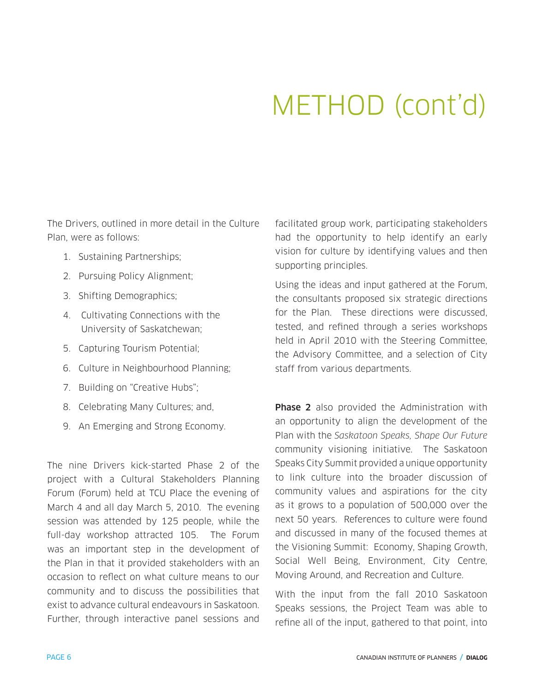# METHOD (cont'd)

The Drivers, outlined in more detail in the Culture Plan, were as follows:

- 1. Sustaining Partnerships;
- 2. Pursuing Policy Alignment;
- 3. Shifting Demographics;
- 4. Cultivating Connections with the University of Saskatchewan;
- 5. Capturing Tourism Potential;
- 6. Culture in Neighbourhood Planning;
- 7. Building on "Creative Hubs";
- 8. Celebrating Many Cultures; and,
- 9. An Emerging and Strong Economy.

The nine Drivers kick-started Phase 2 of the project with a Cultural Stakeholders Planning Forum (Forum) held at TCU Place the evening of March 4 and all day March 5, 2010. The evening session was attended by 125 people, while the full-day workshop attracted 105. The Forum was an important step in the development of the Plan in that it provided stakeholders with an occasion to reflect on what culture means to our community and to discuss the possibilities that exist to advance cultural endeavours in Saskatoon. Further, through interactive panel sessions and facilitated group work, participating stakeholders had the opportunity to help identify an early vision for culture by identifying values and then supporting principles.

Using the ideas and input gathered at the Forum, the consultants proposed six strategic directions for the Plan. These directions were discussed, tested, and refined through a series workshops held in April 2010 with the Steering Committee, the Advisory Committee, and a selection of City staff from various departments.

**Phase 2** also provided the Administration with an opportunity to align the development of the Plan with the Saskatoon Speaks, Shape Our Future community visioning initiative. The Saskatoon Speaks City Summit provided a unique opportunity to link culture into the broader discussion of community values and aspirations for the city as it grows to a population of 500,000 over the next 50 years. References to culture were found and discussed in many of the focused themes at the Visioning Summit: Economy, Shaping Growth, Social Well Being, Environment, City Centre, Moving Around, and Recreation and Culture.

With the input from the fall 2010 Saskatoon Speaks sessions, the Project Team was able to refine all of the input, gathered to that point, into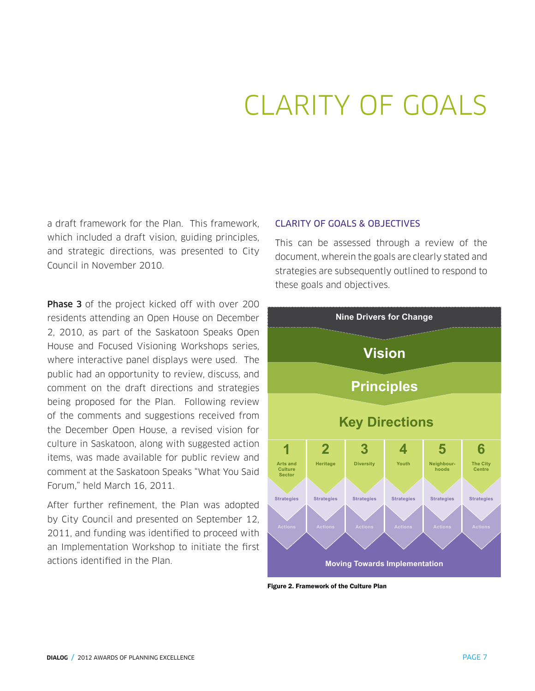# CLARITY OF GOALS

a draft framework for the Plan. This framework, which included a draft vision, guiding principles, and strategic directions, was presented to City and strategic directions, w<br>Council in November 2010.

**Phase 3** of the project kicked off with over 200 residents attending an Open House on December 2, 2010, as part of the Saskatoon Speaks Open House and Focused Visioning Workshops series, where interactive panel displays were used. The public had an opportunity to review, discuss, and comment on the draft directions and strategies being proposed for the Plan. Following review of the comments and suggestions received from the December Open House, a revised vision for culture in Saskatoon, along with suggested action items, was made available for public review and comment at the Saskatoon Speaks "What You Said Forum," held March 16, 2011. poond had all opportunity to review, albeboo, o to the vital conditions, then be concerted det.  $s$  strengthening cultural development and the article of the article of the article of the article of the article of the city, and raising  $\alpha$ 

After further refinement, the Plan was adopted by City Council and presented on September 12, 2011, and funding was identified to proceed with an Implementation Workshop to initiate the first actions identified in the Plan.

#### CLARITY OF GOALS & OBJECTIVES

This can be assessed through a review of the document, wherein the goals are clearly stated and strategies are subsequently outlined to respond to these goals and objectives.



Figure 2. Framework of the Culture Plan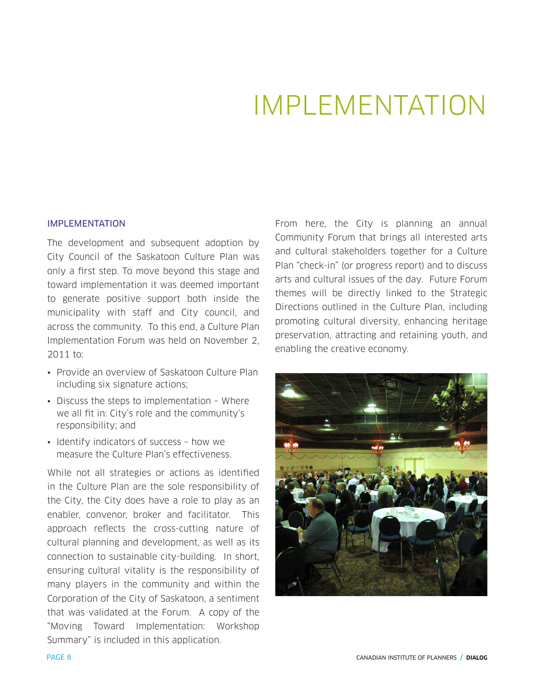### IMPLEMENTATION

#### IMPI FMFNTATION

The development and subsequent adoption by City Council of the Saskatoon Culture Plan was only a first step. To move beyond this stage and toward implementation it was deemed important to generate positive support both inside the municipality with staff and City council, and across the community. To this end, a Culture Plan Implementation Forum was held on November 2, 2011 to:

- Provide an overview of Saskatoon Culture Plan including six signature actions;
- Discuss the steps to implementation Where we all fit in: City's role and the community's responsibility; and
- Identify indicators of success how we measure the Culture Plan's effectiveness.

While not all strategies or actions as identified in the Culture Plan are the sole responsibility of the City, the City does have a role to play as an enabler, convenor, broker and facilitator. This approach reflects the cross-cutting nature of cultural planning and development, as well as its connection to sustainable city-building. In short, ensuring cultural vitality is the responsibility of many players in the community and within the Corporation of the City of Saskatoon, a sentiment that was validated at the Forum. A copy of the "Moving Toward Implementation: Workshop Summary" is included in this application.

From here, the City is planning an annual Community Forum that brings all interested arts and cultural stakeholders together for a Culture Plan "check-in" (or progress report) and to discuss arts and cultural issues of the day. Future Forum themes will be directly linked to the Strategic Directions outlined in the Culture Plan, including promoting cultural diversity, enhancing heritage preservation, attracting and retaining youth, and enabling the creative economy.

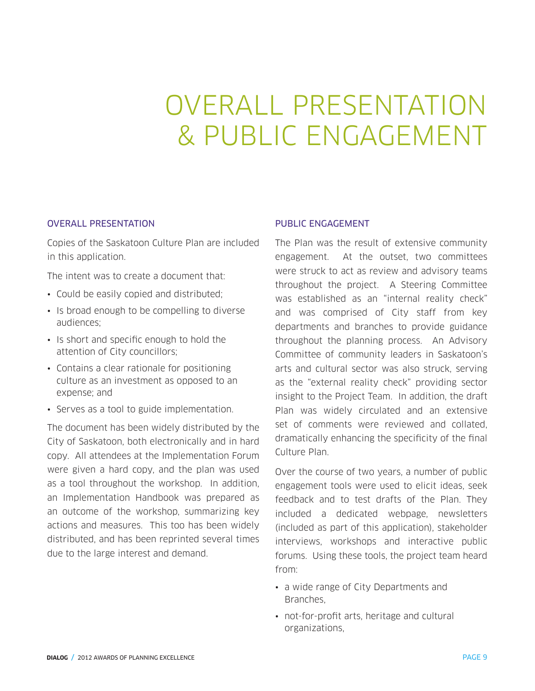# OVERALL PRESENTATION & PUBLIC ENGAGEMENT

#### OVERALL PRESENTATION

Copies of the Saskatoon Culture Plan are included in this application.

The intent was to create a document that:

- Could be easily copied and distributed;
- Is broad enough to be compelling to diverse audiences;
- Is short and specific enough to hold the attention of City councillors;
- Contains a clear rationale for positioning culture as an investment as opposed to an expense; and
- Serves as a tool to guide implementation.

The document has been widely distributed by the City of Saskatoon, both electronically and in hard copy. All attendees at the Implementation Forum were given a hard copy, and the plan was used as a tool throughout the workshop. In addition, an Implementation Handbook was prepared as an outcome of the workshop, summarizing key actions and measures. This too has been widely distributed, and has been reprinted several times due to the large interest and demand.

#### PUBLIC ENGAGEMENT

The Plan was the result of extensive community engagement. At the outset, two committees were struck to act as review and advisory teams throughout the project. A Steering Committee was established as an "internal reality check" and was comprised of City staff from key departments and branches to provide guidance throughout the planning process. An Advisory Committee of community leaders in Saskatoon's arts and cultural sector was also struck, serving as the "external reality check" providing sector insight to the Project Team. In addition, the draft Plan was widely circulated and an extensive set of comments were reviewed and collated, dramatically enhancing the specificity of the final Culture Plan.

Over the course of two years, a number of public engagement tools were used to elicit ideas, seek feedback and to test drafts of the Plan. They included a dedicated webpage, newsletters (included as part of this application), stakeholder interviews, workshops and interactive public forums. Using these tools, the project team heard from:

- a wide range of City Departments and Branches,
- not-for-profit arts, heritage and cultural organizations,